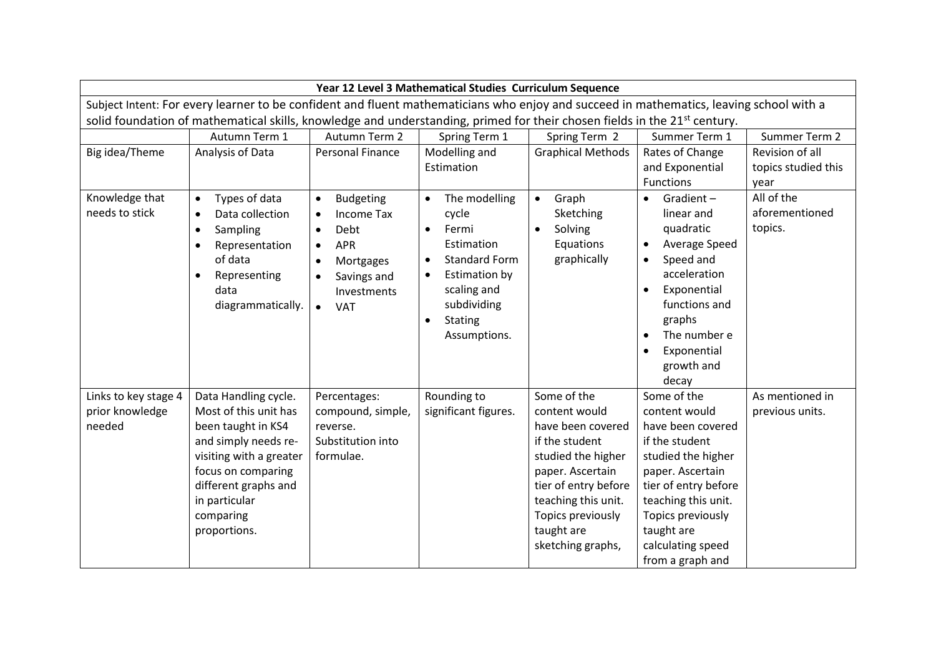|                                                                                                                                         | Year 12 Level 3 Mathematical Studies Curriculum Sequence                                                                                                                                                           |                                                                                                                                                                                                    |                                                                                                                                                                                                                         |                                                                                                                                                                                                                      |                                                                                                                                                                                                                                                                                |                                                 |  |  |  |  |  |
|-----------------------------------------------------------------------------------------------------------------------------------------|--------------------------------------------------------------------------------------------------------------------------------------------------------------------------------------------------------------------|----------------------------------------------------------------------------------------------------------------------------------------------------------------------------------------------------|-------------------------------------------------------------------------------------------------------------------------------------------------------------------------------------------------------------------------|----------------------------------------------------------------------------------------------------------------------------------------------------------------------------------------------------------------------|--------------------------------------------------------------------------------------------------------------------------------------------------------------------------------------------------------------------------------------------------------------------------------|-------------------------------------------------|--|--|--|--|--|
| Subject Intent: For every learner to be confident and fluent mathematicians who enjoy and succeed in mathematics, leaving school with a |                                                                                                                                                                                                                    |                                                                                                                                                                                                    |                                                                                                                                                                                                                         |                                                                                                                                                                                                                      |                                                                                                                                                                                                                                                                                |                                                 |  |  |  |  |  |
| solid foundation of mathematical skills, knowledge and understanding, primed for their chosen fields in the 21 <sup>st</sup> century.   |                                                                                                                                                                                                                    |                                                                                                                                                                                                    |                                                                                                                                                                                                                         |                                                                                                                                                                                                                      |                                                                                                                                                                                                                                                                                |                                                 |  |  |  |  |  |
|                                                                                                                                         | Autumn Term 1                                                                                                                                                                                                      | Autumn Term 2                                                                                                                                                                                      | Spring Term 1                                                                                                                                                                                                           | Spring Term 2                                                                                                                                                                                                        | Summer Term 1                                                                                                                                                                                                                                                                  | Summer Term 2                                   |  |  |  |  |  |
| Big idea/Theme                                                                                                                          | Analysis of Data                                                                                                                                                                                                   | <b>Personal Finance</b>                                                                                                                                                                            | Modelling and                                                                                                                                                                                                           | <b>Graphical Methods</b>                                                                                                                                                                                             | Rates of Change                                                                                                                                                                                                                                                                | Revision of all                                 |  |  |  |  |  |
|                                                                                                                                         |                                                                                                                                                                                                                    |                                                                                                                                                                                                    | Estimation                                                                                                                                                                                                              |                                                                                                                                                                                                                      | and Exponential                                                                                                                                                                                                                                                                | topics studied this                             |  |  |  |  |  |
| Knowledge that<br>needs to stick                                                                                                        | Types of data<br>$\bullet$<br>Data collection<br>$\bullet$<br>Sampling<br>$\bullet$<br>Representation<br>$\bullet$<br>of data<br>Representing<br>$\bullet$<br>data<br>diagrammatically.                            | <b>Budgeting</b><br>$\bullet$<br><b>Income Tax</b><br>$\bullet$<br>Debt<br>$\bullet$<br><b>APR</b><br>$\bullet$<br>Mortgages<br>$\bullet$<br>Savings and<br>Investments<br>$\bullet$<br><b>VAT</b> | The modelling<br>$\bullet$<br>cycle<br>Fermi<br>$\bullet$<br>Estimation<br><b>Standard Form</b><br>$\bullet$<br>Estimation by<br>$\bullet$<br>scaling and<br>subdividing<br><b>Stating</b><br>$\bullet$<br>Assumptions. | Graph<br>$\bullet$<br>Sketching<br>Solving<br>$\bullet$<br>Equations<br>graphically                                                                                                                                  | <b>Functions</b><br>Gradient $-$<br>$\bullet$<br>linear and<br>quadratic<br>Average Speed<br>$\bullet$<br>Speed and<br>$\bullet$<br>acceleration<br>Exponential<br>$\bullet$<br>functions and<br>graphs<br>The number e<br>$\bullet$<br>Exponential<br>$\bullet$<br>growth and | vear<br>All of the<br>aforementioned<br>topics. |  |  |  |  |  |
| Links to key stage 4<br>prior knowledge<br>needed                                                                                       | Data Handling cycle.<br>Most of this unit has<br>been taught in KS4<br>and simply needs re-<br>visiting with a greater<br>focus on comparing<br>different graphs and<br>in particular<br>comparing<br>proportions. | Percentages:<br>compound, simple,<br>reverse.<br>Substitution into<br>formulae.                                                                                                                    | Rounding to<br>significant figures.                                                                                                                                                                                     | Some of the<br>content would<br>have been covered<br>if the student<br>studied the higher<br>paper. Ascertain<br>tier of entry before<br>teaching this unit.<br>Topics previously<br>taught are<br>sketching graphs, | decay<br>Some of the<br>content would<br>have been covered<br>if the student<br>studied the higher<br>paper. Ascertain<br>tier of entry before<br>teaching this unit.<br>Topics previously<br>taught are<br>calculating speed<br>from a graph and                              | As mentioned in<br>previous units.              |  |  |  |  |  |